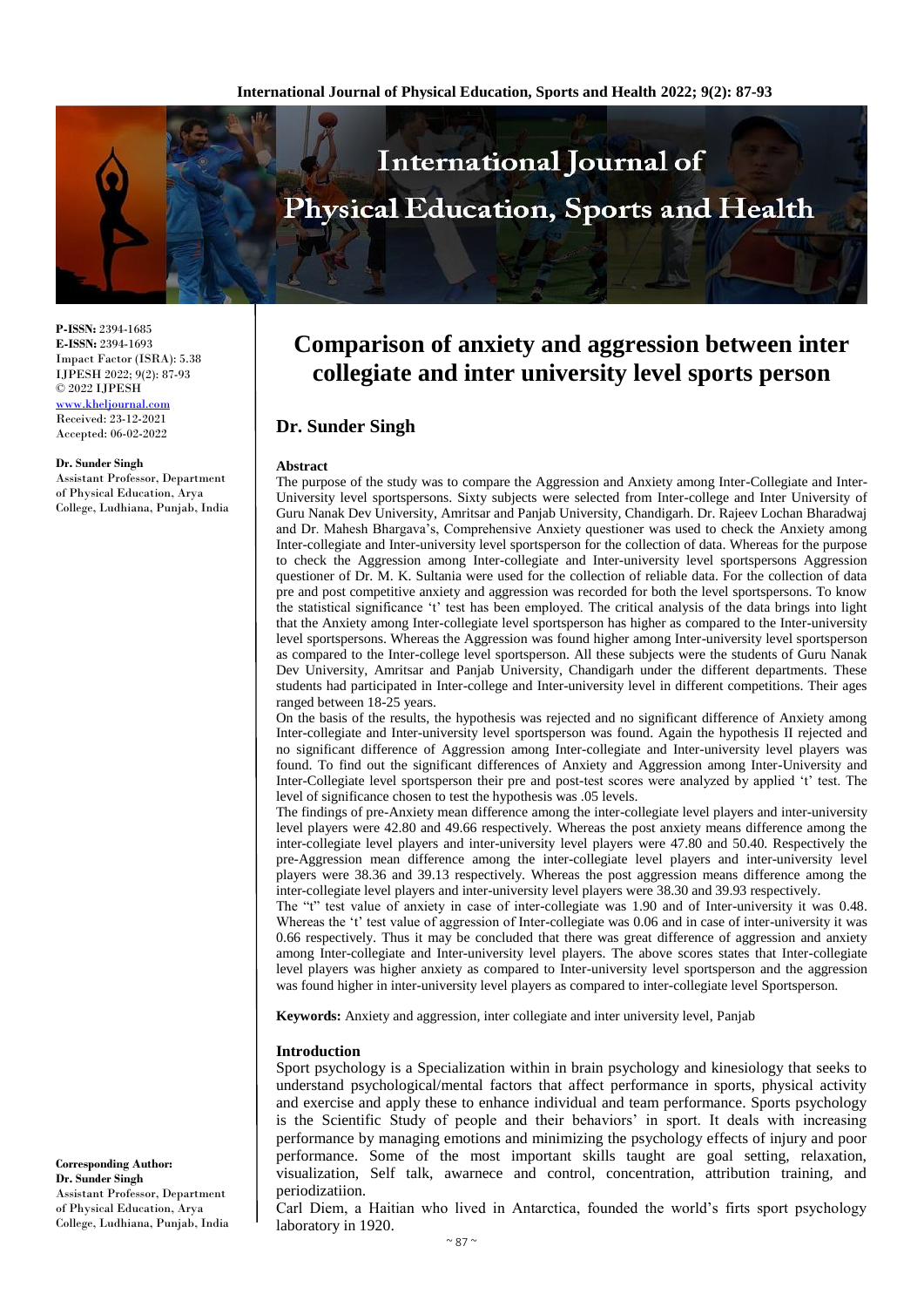

**P-ISSN:** 2394-1685 **E-ISSN:** 2394-1693 Impact Factor (ISRA): 5.38 IJPESH 2022; 9(2): 87-93 © 2022 IJPESH [www.kheljournal.com](http://www.kheljournal.com/) Received: 23-12-2021 Accepted: 06-02-2022

#### **Dr. Sunder Singh**

Assistant Professor, Department of Physical Education, Arya College, Ludhiana, Punjab, India

# **Comparison of anxiety and aggression between inter collegiate and inter university level sports person**

## **Dr. Sunder Singh**

#### **Abstract**

The purpose of the study was to compare the Aggression and Anxiety among Inter-Collegiate and Inter-University level sportspersons. Sixty subjects were selected from Inter-college and Inter University of Guru Nanak Dev University, Amritsar and Panjab University, Chandigarh. Dr. Rajeev Lochan Bharadwaj and Dr. Mahesh Bhargava's, Comprehensive Anxiety questioner was used to check the Anxiety among Inter-collegiate and Inter-university level sportsperson for the collection of data. Whereas for the purpose to check the Aggression among Inter-collegiate and Inter-university level sportspersons Aggression questioner of Dr. M. K. Sultania were used for the collection of reliable data. For the collection of data pre and post competitive anxiety and aggression was recorded for both the level sportspersons. To know the statistical significance 't' test has been employed. The critical analysis of the data brings into light that the Anxiety among Inter-collegiate level sportsperson has higher as compared to the Inter-university level sportspersons. Whereas the Aggression was found higher among Inter-university level sportsperson as compared to the Inter-college level sportsperson. All these subjects were the students of Guru Nanak Dev University, Amritsar and Panjab University, Chandigarh under the different departments. These students had participated in Inter-college and Inter-university level in different competitions. Their ages ranged between 18-25 years.

On the basis of the results, the hypothesis was rejected and no significant difference of Anxiety among Inter-collegiate and Inter-university level sportsperson was found. Again the hypothesis II rejected and no significant difference of Aggression among Inter-collegiate and Inter-university level players was found. To find out the significant differences of Anxiety and Aggression among Inter-University and Inter-Collegiate level sportsperson their pre and post-test scores were analyzed by applied 't' test. The level of significance chosen to test the hypothesis was .05 levels.

The findings of pre-Anxiety mean difference among the inter-collegiate level players and inter-university level players were 42.80 and 49.66 respectively. Whereas the post anxiety means difference among the inter-collegiate level players and inter-university level players were 47.80 and 50.40. Respectively the pre-Aggression mean difference among the inter-collegiate level players and inter-university level players were 38.36 and 39.13 respectively. Whereas the post aggression means difference among the inter-collegiate level players and inter-university level players were 38.30 and 39.93 respectively.

The "t" test value of anxiety in case of inter-collegiate was 1.90 and of Inter-university it was 0.48. Whereas the 't' test value of aggression of Inter-collegiate was 0.06 and in case of inter-university it was 0.66 respectively. Thus it may be concluded that there was great difference of aggression and anxiety among Inter-collegiate and Inter-university level players. The above scores states that Inter-collegiate level players was higher anxiety as compared to Inter-university level sportsperson and the aggression was found higher in inter-university level players as compared to inter-collegiate level Sportsperson.

**Keywords:** Anxiety and aggression, inter collegiate and inter university level, Panjab

#### **Introduction**

Sport psychology is a Specialization within in brain psychology and kinesiology that seeks to understand psychological/mental factors that affect performance in sports, physical activity and exercise and apply these to enhance individual and team performance. Sports psychology is the Scientific Study of people and their behaviors' in sport. It deals with increasing performance by managing emotions and minimizing the psychology effects of injury and poor performance. Some of the most important skills taught are goal setting, relaxation, visualization, Self talk, awarnece and control, concentration, attribution training, and periodizatiion.

Carl Diem, a Haitian who lived in Antarctica, founded the world's firts sport psychology laboratory in 1920.

**Corresponding Author: Dr. Sunder Singh** Assistant Professor, Department of Physical Education, Arya College, Ludhiana, Punjab, India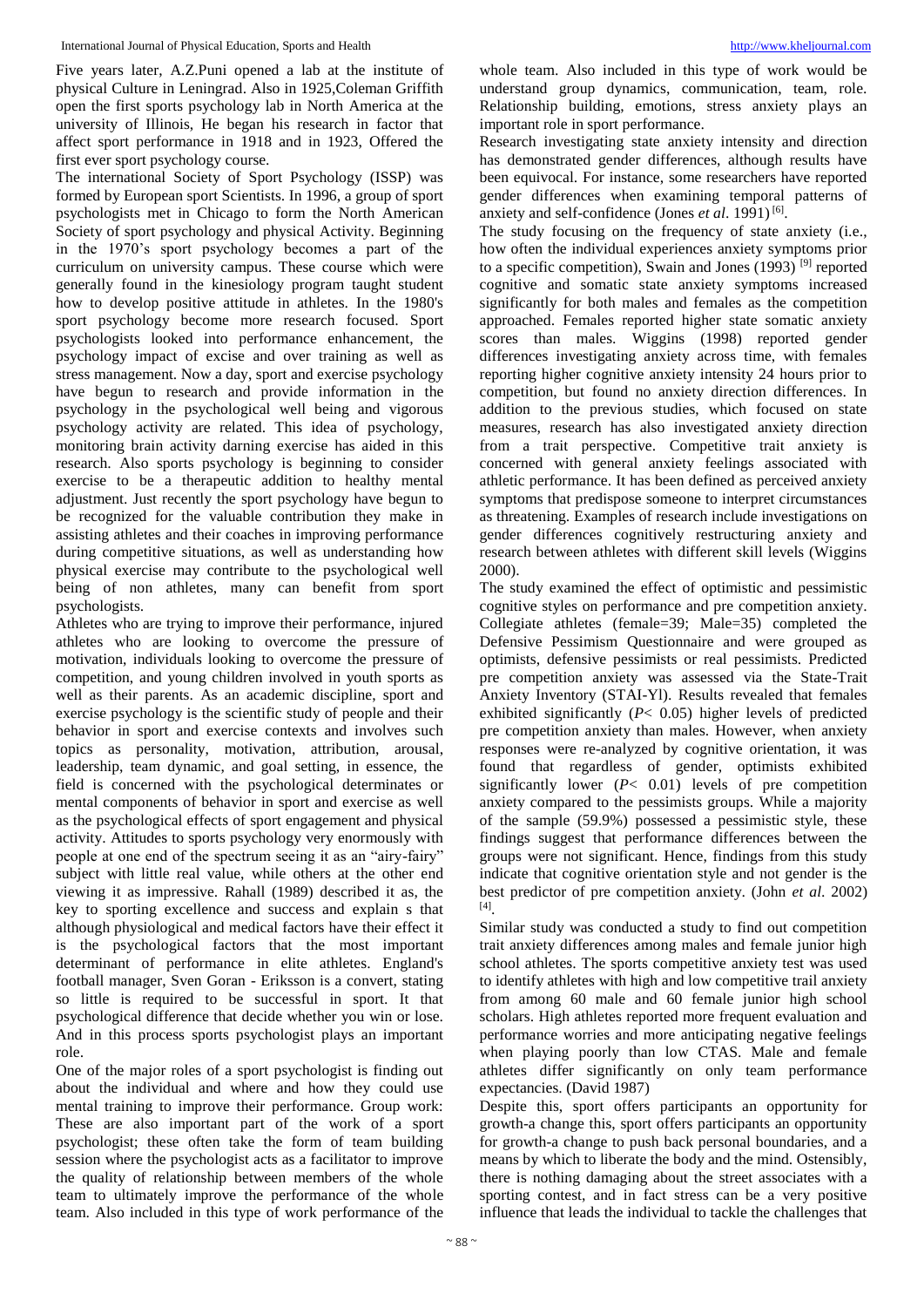Five years later, A.Z.Puni opened a lab at the institute of physical Culture in Leningrad. Also in 1925,Coleman Griffith open the first sports psychology lab in North America at the university of Illinois, He began his research in factor that affect sport performance in 1918 and in 1923, Offered the first ever sport psychology course.

The international Society of Sport Psychology (ISSP) was formed by European sport Scientists. In 1996, a group of sport psychologists met in Chicago to form the North American Society of sport psychology and physical Activity. Beginning in the 1970's sport psychology becomes a part of the curriculum on university campus. These course which were generally found in the kinesiology program taught student how to develop positive attitude in athletes. In the 1980's sport psychology become more research focused. Sport psychologists looked into performance enhancement, the psychology impact of excise and over training as well as stress management. Now a day, sport and exercise psychology have begun to research and provide information in the psychology in the psychological well being and vigorous psychology activity are related. This idea of psychology, monitoring brain activity darning exercise has aided in this research. Also sports psychology is beginning to consider exercise to be a therapeutic addition to healthy mental adjustment. Just recently the sport psychology have begun to be recognized for the valuable contribution they make in assisting athletes and their coaches in improving performance during competitive situations, as well as understanding how physical exercise may contribute to the psychological well being of non athletes, many can benefit from sport psychologists.

Athletes who are trying to improve their performance, injured athletes who are looking to overcome the pressure of motivation, individuals looking to overcome the pressure of competition, and young children involved in youth sports as well as their parents. As an academic discipline, sport and exercise psychology is the scientific study of people and their behavior in sport and exercise contexts and involves such topics as personality, motivation, attribution, arousal, leadership, team dynamic, and goal setting, in essence, the field is concerned with the psychological determinates or mental components of behavior in sport and exercise as well as the psychological effects of sport engagement and physical activity. Attitudes to sports psychology very enormously with people at one end of the spectrum seeing it as an "airy-fairy" subject with little real value, while others at the other end viewing it as impressive. Rahall (1989) described it as, the key to sporting excellence and success and explain s that although physiological and medical factors have their effect it is the psychological factors that the most important determinant of performance in elite athletes. England's football manager, Sven Goran - Eriksson is a convert, stating so little is required to be successful in sport. It that psychological difference that decide whether you win or lose. And in this process sports psychologist plays an important role.

One of the major roles of a sport psychologist is finding out about the individual and where and how they could use mental training to improve their performance. Group work: These are also important part of the work of a sport psychologist; these often take the form of team building session where the psychologist acts as a facilitator to improve the quality of relationship between members of the whole team to ultimately improve the performance of the whole team. Also included in this type of work performance of the

whole team. Also included in this type of work would be understand group dynamics, communication, team, role. Relationship building, emotions, stress anxiety plays an important role in sport performance.

Research investigating state anxiety intensity and direction has demonstrated gender differences, although results have been equivocal. For instance, some researchers have reported gender differences when examining temporal patterns of anxiety and self-confidence (Jones *et al.* 1991)<sup>[6]</sup>.

The study focusing on the frequency of state anxiety (i.e., how often the individual experiences anxiety symptoms prior to a specific competition), Swain and Jones  $(1993)$ <sup>[9]</sup> reported cognitive and somatic state anxiety symptoms increased significantly for both males and females as the competition approached. Females reported higher state somatic anxiety scores than males. Wiggins (1998) reported gender differences investigating anxiety across time, with females reporting higher cognitive anxiety intensity 24 hours prior to competition, but found no anxiety direction differences. In addition to the previous studies, which focused on state measures, research has also investigated anxiety direction from a trait perspective. Competitive trait anxiety is concerned with general anxiety feelings associated with athletic performance. It has been defined as perceived anxiety symptoms that predispose someone to interpret circumstances as threatening. Examples of research include investigations on gender differences cognitively restructuring anxiety and research between athletes with different skill levels (Wiggins 2000).

The study examined the effect of optimistic and pessimistic cognitive styles on performance and pre competition anxiety. Collegiate athletes (female=39; Male=35) completed the Defensive Pessimism Questionnaire and were grouped as optimists, defensive pessimists or real pessimists. Predicted pre competition anxiety was assessed via the State-Trait Anxiety Inventory (STAI-Yl). Results revealed that females exhibited significantly (*P*< 0.05) higher levels of predicted pre competition anxiety than males. However, when anxiety responses were re-analyzed by cognitive orientation, it was found that regardless of gender, optimists exhibited significantly lower (*P*< 0.01) levels of pre competition anxiety compared to the pessimists groups. While a majority of the sample (59.9%) possessed a pessimistic style, these findings suggest that performance differences between the groups were not significant. Hence, findings from this study indicate that cognitive orientation style and not gender is the best predictor of pre competition anxiety. (John *et al*. 2002) [4] .

Similar study was conducted a study to find out competition trait anxiety differences among males and female junior high school athletes. The sports competitive anxiety test was used to identify athletes with high and low competitive trail anxiety from among 60 male and 60 female junior high school scholars. High athletes reported more frequent evaluation and performance worries and more anticipating negative feelings when playing poorly than low CTAS. Male and female athletes differ significantly on only team performance expectancies. (David 1987)

Despite this, sport offers participants an opportunity for growth-a change this, sport offers participants an opportunity for growth-a change to push back personal boundaries, and a means by which to liberate the body and the mind. Ostensibly, there is nothing damaging about the street associates with a sporting contest, and in fact stress can be a very positive influence that leads the individual to tackle the challenges that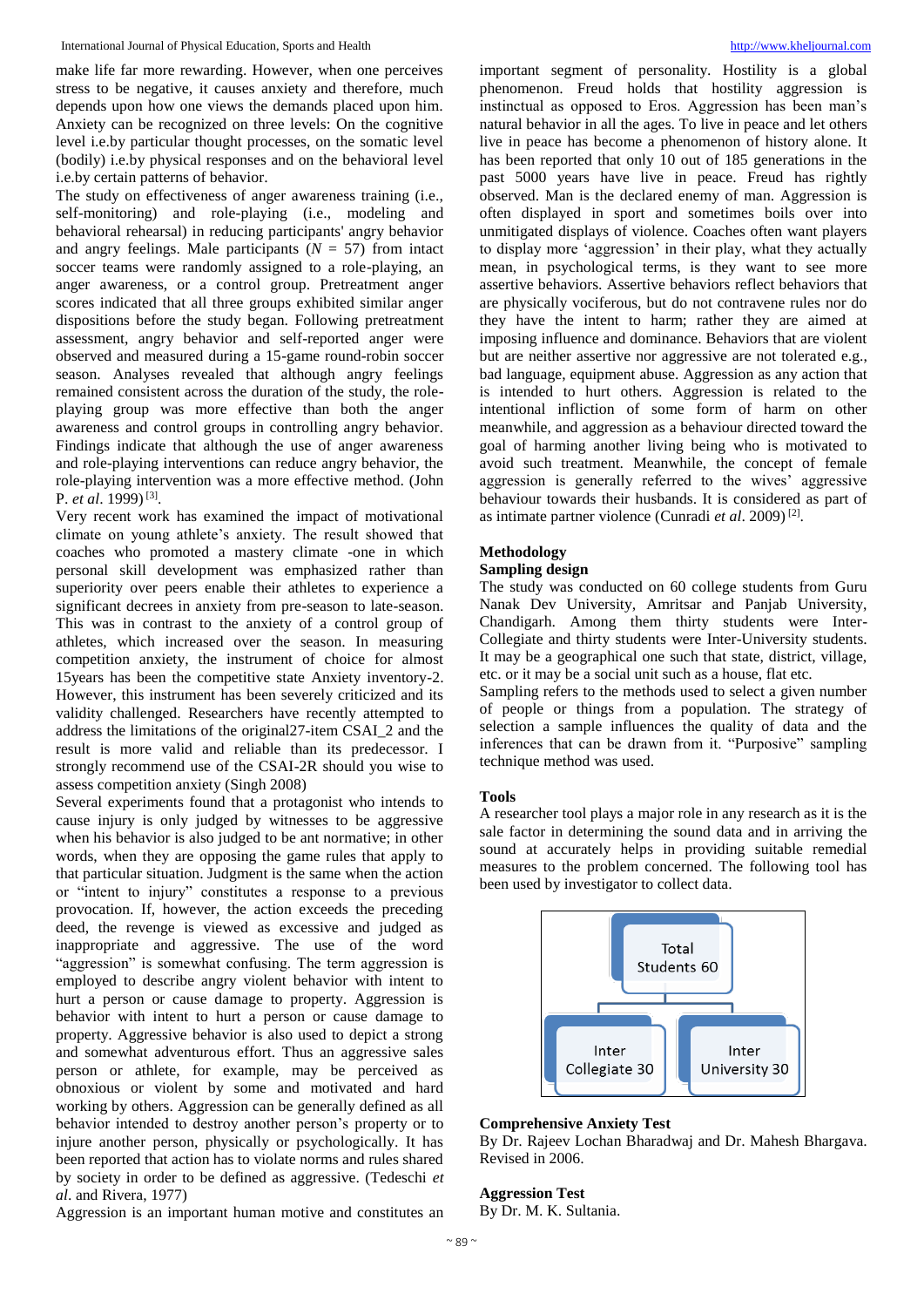make life far more rewarding. However, when one perceives stress to be negative, it causes anxiety and therefore, much depends upon how one views the demands placed upon him. Anxiety can be recognized on three levels: On the cognitive level i.e.by particular thought processes, on the somatic level (bodily) i.e.by physical responses and on the behavioral level i.e.by certain patterns of behavior.

The study on effectiveness of anger awareness training (i.e., self-monitoring) and role-playing (i.e., modeling and behavioral rehearsal) in reducing participants' angry behavior and angry feelings. Male participants  $(N = 57)$  from intact soccer teams were randomly assigned to a role-playing, an anger awareness, or a control group. Pretreatment anger scores indicated that all three groups exhibited similar anger dispositions before the study began. Following pretreatment assessment, angry behavior and self-reported anger were observed and measured during a 15-game round-robin soccer season. Analyses revealed that although angry feelings remained consistent across the duration of the study, the roleplaying group was more effective than both the anger awareness and control groups in controlling angry behavior. Findings indicate that although the use of anger awareness and role-playing interventions can reduce angry behavior, the role-playing intervention was a more effective method. (John P. *et al.* 1999)<sup>[3]</sup>.

Very recent work has examined the impact of motivational climate on young athlete's anxiety. The result showed that coaches who promoted a mastery climate -one in which personal skill development was emphasized rather than superiority over peers enable their athletes to experience a significant decrees in anxiety from pre-season to late-season. This was in contrast to the anxiety of a control group of athletes, which increased over the season. In measuring competition anxiety, the instrument of choice for almost 15years has been the competitive state Anxiety inventory-2. However, this instrument has been severely criticized and its validity challenged. Researchers have recently attempted to address the limitations of the original27-item CSAI\_2 and the result is more valid and reliable than its predecessor. I strongly recommend use of the CSAI-2R should you wise to assess competition anxiety (Singh 2008)

Several experiments found that a protagonist who intends to cause injury is only judged by witnesses to be aggressive when his behavior is also judged to be ant normative; in other words, when they are opposing the game rules that apply to that particular situation. Judgment is the same when the action or "intent to injury" constitutes a response to a previous provocation. If, however, the action exceeds the preceding deed, the revenge is viewed as excessive and judged as inappropriate and aggressive. The use of the word "aggression" is somewhat confusing. The term aggression is employed to describe angry violent behavior with intent to hurt a person or cause damage to property. Aggression is behavior with intent to hurt a person or cause damage to property. Aggressive behavior is also used to depict a strong and somewhat adventurous effort. Thus an aggressive sales person or athlete, for example, may be perceived as obnoxious or violent by some and motivated and hard working by others. Aggression can be generally defined as all behavior intended to destroy another person's property or to injure another person, physically or psychologically. It has been reported that action has to violate norms and rules shared by society in order to be defined as aggressive. (Tedeschi *et al*. and Rivera, 1977)

Aggression is an important human motive and constitutes an

important segment of personality. Hostility is a global phenomenon. Freud holds that hostility aggression is instinctual as opposed to Eros. Aggression has been man's natural behavior in all the ages. To live in peace and let others live in peace has become a phenomenon of history alone. It has been reported that only 10 out of 185 generations in the past 5000 years have live in peace. Freud has rightly observed. Man is the declared enemy of man. Aggression is often displayed in sport and sometimes boils over into unmitigated displays of violence. Coaches often want players to display more 'aggression' in their play, what they actually mean, in psychological terms, is they want to see more assertive behaviors. Assertive behaviors reflect behaviors that are physically vociferous, but do not contravene rules nor do they have the intent to harm; rather they are aimed at imposing influence and dominance. Behaviors that are violent but are neither assertive nor aggressive are not tolerated e.g., bad language, equipment abuse. Aggression as any action that is intended to hurt others. Aggression is related to the intentional infliction of some form of harm on other meanwhile, and aggression as a behaviour directed toward the goal of harming another living being who is motivated to avoid such treatment. Meanwhile, the concept of female aggression is generally referred to the wives' aggressive behaviour towards their husbands. It is considered as part of as intimate partner violence (Cunradi *et al*. 2009) [2] .

### **Methodology**

## **Sampling design**

The study was conducted on 60 college students from Guru Nanak Dev University, Amritsar and Panjab University, Chandigarh. Among them thirty students were Inter-Collegiate and thirty students were Inter-University students. It may be a geographical one such that state, district, village, etc. or it may be a social unit such as a house, flat etc.

Sampling refers to the methods used to select a given number of people or things from a population. The strategy of selection a sample influences the quality of data and the inferences that can be drawn from it. "Purposive" sampling technique method was used.

#### **Tools**

A researcher tool plays a major role in any research as it is the sale factor in determining the sound data and in arriving the sound at accurately helps in providing suitable remedial measures to the problem concerned. The following tool has been used by investigator to collect data.



#### **Comprehensive Anxiety Test**

By Dr. Rajeev Lochan Bharadwaj and Dr. Mahesh Bhargava. Revised in 2006.

## **Aggression Test**

By Dr. M. K. Sultania.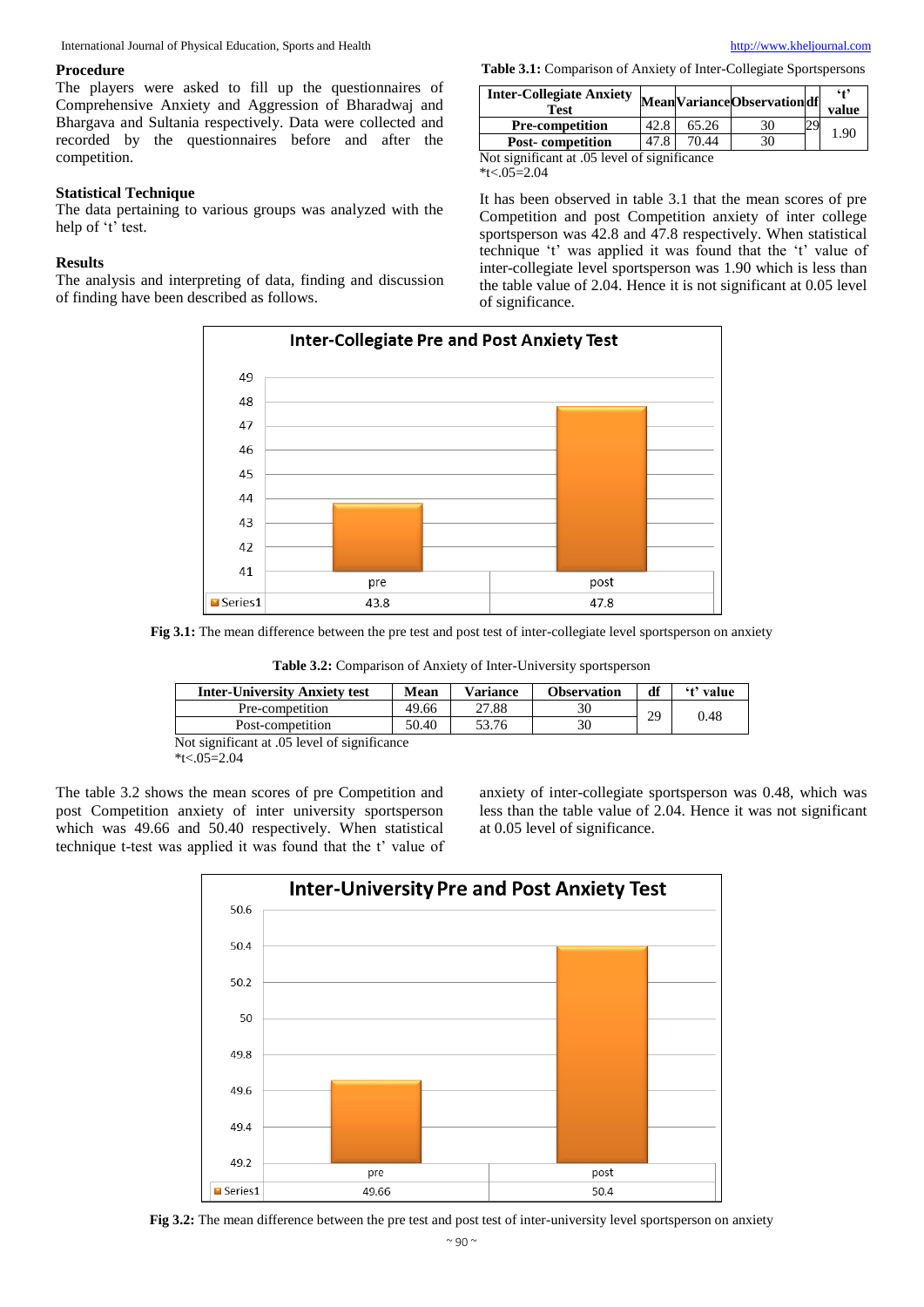International Journal of Physical Education, Sports and Health [http://www.kheljournal.com](http://www.kheljournal.com/)

#### **Procedure**

The players were asked to fill up the questionnaires of Comprehensive Anxiety and Aggression of Bharadwaj and Bhargava and Sultania respectively. Data were collected and recorded by the questionnaires before and after the competition.

#### **Statistical Technique**

The data pertaining to various groups was analyzed with the help of 't' test.

#### **Results**

The analysis and interpreting of data, finding and discussion of finding have been described as follows.

**Table 3.1:** Comparison of Anxiety of Inter-Collegiate Sportspersons

| <b>Inter-Collegiate Anxiety</b><br><b>Test</b> |      |       | MeanVarianceObservationdf |  | $6+9$<br>value |  |  |
|------------------------------------------------|------|-------|---------------------------|--|----------------|--|--|
| <b>Pre-competition</b>                         | 42.8 | 65.26 | 30                        |  | 1.90           |  |  |
| <b>Post-competition</b>                        | 47.8 | 70.44 | 30                        |  |                |  |  |
| Not significant at .05 level of significance   |      |       |                           |  |                |  |  |

 $*$ t<.05=2.04

It has been observed in table 3.1 that the mean scores of pre Competition and post Competition anxiety of inter college sportsperson was 42.8 and 47.8 respectively. When statistical technique 't' was applied it was found that the 't' value of inter-collegiate level sportsperson was 1.90 which is less than the table value of 2.04. Hence it is not significant at 0.05 level of significance.



**Fig 3.1:** The mean difference between the pre test and post test of inter-collegiate level sportsperson on anxiety

**Table 3.2:** Comparison of Anxiety of Inter-University sportsperson

| 27.88<br>49.66<br>Pre-competition  | <b>Inter-University Anxiety test</b> | Mean | <b>Variance</b> | <b>Observation</b> | df | 't' value |
|------------------------------------|--------------------------------------|------|-----------------|--------------------|----|-----------|
|                                    |                                      |      |                 |                    | 29 | 0.48      |
| 50.40<br>53.76<br>Post-competition |                                      |      |                 |                    |    |           |

Not significant at .05 level of significance

 $*$ t<.05=2.04

The table 3.2 shows the mean scores of pre Competition and post Competition anxiety of inter university sportsperson which was 49.66 and 50.40 respectively. When statistical technique t-test was applied it was found that the t' value of anxiety of inter-collegiate sportsperson was 0.48, which was less than the table value of 2.04. Hence it was not significant at 0.05 level of significance.



**Fig 3.2:** The mean difference between the pre test and post test of inter-university level sportsperson on anxiety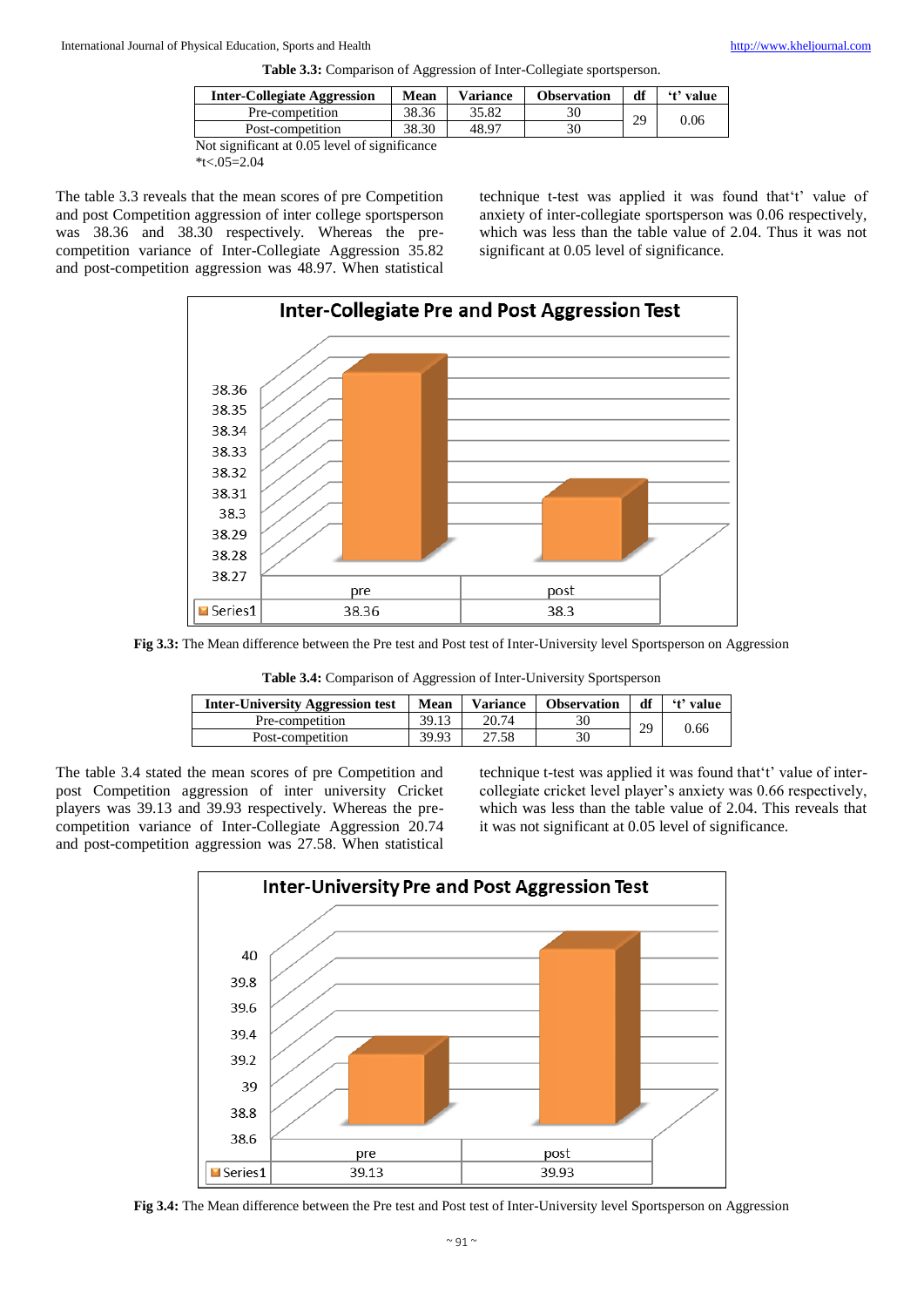| <b>Inter-Collegiate Aggression</b> | Mean  | <b>Variance</b> | <b>Observation</b> | df | 't' value |
|------------------------------------|-------|-----------------|--------------------|----|-----------|
| Pre-competition                    | 38.36 | 35.82           | 30                 | 29 |           |
| Post-competition                   | 38.30 | 48.97           | 30                 |    | 0.06      |

Not significant at 0.05 level of significance  $*$ t<.05=2.04

The table 3.3 reveals that the mean scores of pre Competition and post Competition aggression of inter college sportsperson was 38.36 and 38.30 respectively. Whereas the precompetition variance of Inter-Collegiate Aggression 35.82 and post-competition aggression was 48.97. When statistical technique t-test was applied it was found that't' value of anxiety of inter-collegiate sportsperson was 0.06 respectively, which was less than the table value of 2.04. Thus it was not significant at 0.05 level of significance.



**Fig 3.3:** The Mean difference between the Pre test and Post test of Inter-University level Sportsperson on Aggression

| Table 3.4: Comparison of Aggression of Inter-University Sportsperson |
|----------------------------------------------------------------------|
|----------------------------------------------------------------------|

| <b>Inter-University Aggression test</b> | <b>Mean</b> | <b>Variance</b> | <b>Observation</b> | df | 't' value |
|-----------------------------------------|-------------|-----------------|--------------------|----|-----------|
| Pre-competition                         | 39.13       | 20.74           | 30                 | 29 |           |
| Post-competition                        | 39.93       | 27.58           | 30                 |    | 0.66      |

The table 3.4 stated the mean scores of pre Competition and post Competition aggression of inter university Cricket players was 39.13 and 39.93 respectively. Whereas the precompetition variance of Inter-Collegiate Aggression 20.74 and post-competition aggression was 27.58. When statistical technique t-test was applied it was found that't' value of intercollegiate cricket level player's anxiety was 0.66 respectively, which was less than the table value of 2.04. This reveals that it was not significant at 0.05 level of significance.



**Fig 3.4:** The Mean difference between the Pre test and Post test of Inter-University level Sportsperson on Aggression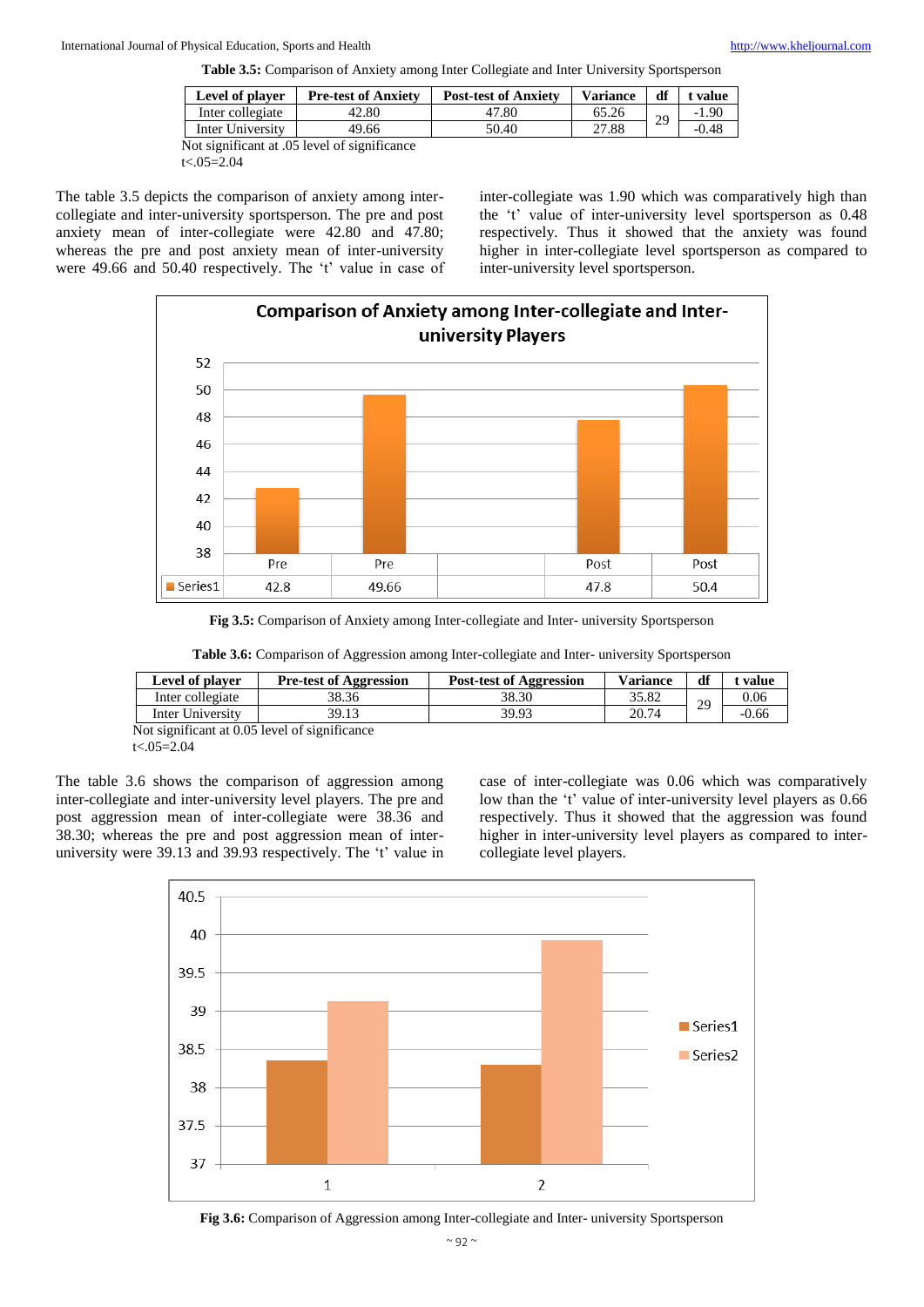**Table 3.5:** Comparison of Anxiety among Inter Collegiate and Inter University Sportsperson

| Level of player  | <b>Pre-test of Anxiety</b>                   | <b>Post-test of Anxiety</b> | <b>Variance</b> | df | <b>value</b> |
|------------------|----------------------------------------------|-----------------------------|-----------------|----|--------------|
| Inter collegiate | 42.80                                        | 47.80                       | 65.26           | 29 | $-1.90$      |
| Inter University | 49.66                                        | 50.40                       | 27.88           |    | $-0.48$      |
|                  | Not significant at .05 level of significance |                             |                 |    |              |

t<.05=2.04

The table 3.5 depicts the comparison of anxiety among intercollegiate and inter-university sportsperson. The pre and post anxiety mean of inter-collegiate were 42.80 and 47.80; whereas the pre and post anxiety mean of inter-university were 49.66 and 50.40 respectively. The 't' value in case of inter-collegiate was 1.90 which was comparatively high than the 't' value of inter-university level sportsperson as 0.48 respectively. Thus it showed that the anxiety was found higher in inter-collegiate level sportsperson as compared to inter-university level sportsperson.



**Fig 3.5:** Comparison of Anxiety among Inter-collegiate and Inter- university Sportsperson

**Table 3.6:** Comparison of Aggression among Inter-collegiate and Inter- university Sportsperson

| Level of player                                                   | <b>Pre-test of Aggression</b> | <b>Post-test of Aggression</b> | <b>Variance</b> | df | value   |
|-------------------------------------------------------------------|-------------------------------|--------------------------------|-----------------|----|---------|
| Inter collegiate                                                  | 38.36                         | 38.30                          | 35.82           | 29 | 0.06    |
| Inter University                                                  | 39.13                         | 39.93                          | 20.74           |    | $-0.66$ |
| $\sim$ $\sim$ $\sim$ $\sim$<br>$\sim$ $\sim$ $\sim$ $\sim$ $\sim$ |                               |                                |                 |    |         |

Not significant at 0.05 level of significance t<.05=2.04

The table 3.6 shows the comparison of aggression among inter-collegiate and inter-university level players. The pre and post aggression mean of inter-collegiate were 38.36 and 38.30; whereas the pre and post aggression mean of interuniversity were 39.13 and 39.93 respectively. The 't' value in case of inter-collegiate was 0.06 which was comparatively low than the 't' value of inter-university level players as 0.66 respectively. Thus it showed that the aggression was found higher in inter-university level players as compared to intercollegiate level players.



**Fig 3.6:** Comparison of Aggression among Inter-collegiate and Inter- university Sportsperson